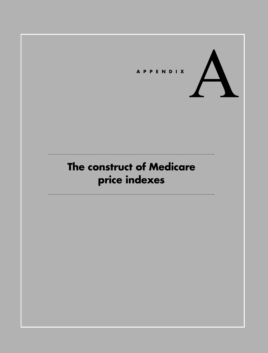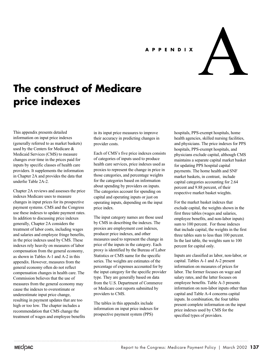# **APPENDIX**



# **The construct of Medicare price indexes**

This appendix presents detailed information on input price indexes (generally referred to as market baskets) used by the Centers for Medicare & Medicaid Services (CMS) to measure changes over time in the prices paid for inputs by specific classes of health care providers. It supplements the information in Chapter 2A and provides the data that underlie Table 2A-2.

Chapter 2A reviews and assesses the price indexes Medicare uses to measure changes in input prices for its prospective payment systems. CMS and the Congress use these indexes to update payment rates. In addition to discussing price indexes generally, Chapter 2A considers the treatment of labor costs, including wages and salaries and employee fringe benefits, in the price indexes used by CMS. These indexes rely heavily on measures of labor compensation from the general economy, as shown in Tables A-1 and A-2 in this appendix. However, measures from the general economy often do not reflect compensation changes in health care. The Commission believes that the use of measures from the general economy may cause the indexes to overestimate or underestimate input price change, resulting in payment updates that are too high or too low. The chapter includes a recommendation that CMS change the treatment of wages and employee benefits

in its input price measures to improve their accuracy in predicting changes in provider costs.

Each of CMS's five price indexes consists of categories of inputs used to produce health care services, price indexes used as proxies to represent the change in price in those categories, and percentage weights for the categories based on information about spending by providers on inputs. The categories account for spending on capital and operating inputs or just on operating inputs, depending on the input price index.

The input category names are those used by CMS in describing the indexes. The proxies are employment cost indexes, producer price indexes, and other measures used to represent the change in price of the inputs in the category. Each proxy is identified by the Bureau of Labor Statistics or CMS name for the specific series. The weights are estimates of the percentage of expenses accounted for by the input category for the specific provider type. They are generally based on data from the U.S. Department of Commerce or Medicare cost reports submitted by providers to CMS.

The tables in this appendix include information on input price indexes for prospective payment system (PPS)

hospitals, PPS-exempt hospitals, home health agencies, skilled nursing facilities, and physicians. The price indexes for PPS hospitals, PPS-exempt hospitals, and physicians exclude capital, although CMS maintains a separate capital market basket for updating PPS hospital capital payments. The home health and SNF market baskets, in contrast, include capital categories accounting for 2.64 percent and 9.88 percent, of their respective market basket wieghts.

For the market basket indexes that exclude capital, the weights shown in the first three tables (wages and salaries, employee benefits, and non-labor inputs) sum to 100 percent. For those indexes that include capital, the weights in the first three tables sum to less than 100 percent. In the last table, the weights sum to 100 percent for capital only.

Inputs are classified as labor, non-labor, or capital. Tables A-1 and A-2 present information on measures of prices for labor. The former focuses on wage and salary rates, and the latter focuses on employee benefits. Table A-3 presents information on non-labor inputs other than capital and Table A-4 concerns capital inputs. In combination, the four tables present complete information on the input price indexes used by CMS for the specified types of providers.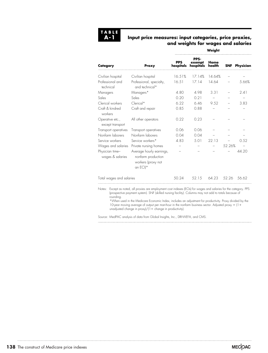

### **Input price measures: input categories, price proxies, and weights for wages and salaries**

**Weight**

| Proxy                                                                              | weight                  |                             |                |  |                      |  |
|------------------------------------------------------------------------------------|-------------------------|-----------------------------|----------------|--|----------------------|--|
|                                                                                    | <b>PPS</b><br>hospitals | PPS-<br>exempt<br>hospitals | Home<br>health |  | <b>SNF</b> Physician |  |
| Civilian hospital                                                                  | 16.51%                  | 17.14%                      | 14.64%         |  |                      |  |
| Professional, specialty,<br>and technical*                                         | 16.51                   | 17.14                       | 14.64          |  | 5.66%                |  |
| Managers*                                                                          | 4.80                    | 4.98                        | 3.31           |  | 2.41                 |  |
| Sales                                                                              | 0.20                    | 0.21                        |                |  |                      |  |
| $Clerical*$                                                                        | 6.22                    | 646                         | 9.52           |  | 3.83                 |  |
| Craft and repair                                                                   | 0.85                    | 0.88                        |                |  |                      |  |
| All other operators                                                                | 0.22                    | 0.23                        |                |  |                      |  |
| Transport operatives                                                               | 0.06                    | 0.06                        |                |  |                      |  |
| Nonfarm laborers                                                                   | 0.04                    | 0.04                        |                |  |                      |  |
| Service workers*                                                                   | 4.83                    | 5.01                        | 22.13          |  | 0.52                 |  |
| Private nursing homes                                                              |                         |                             |                |  |                      |  |
| Average hourly earnings,<br>nonfarm production<br>workers (proxy not<br>an $ECI^*$ |                         |                             |                |  | 44.20                |  |
| Total wages and salaries                                                           |                         |                             |                |  |                      |  |
|                                                                                    |                         |                             |                |  | 52.26%               |  |

Notes: Except as noted, all proxies are employment cost indexes (ECIs) for wages and salaries for the category. PPS (prospective payment system). SNF (skilled nursing facility). Columns may not add to totals because of rounding.

\*When used in the Medicare Economic Index, includes an adjustment for productivity. Proxy divided by the 10-year moving average of output per man-hour in the nonfarm business sector. Adjusted proxy  $= (1 +$ unadjusted change in  $prox$ / $(1 +$  change in productivity).

Source: MedPAC analysis of data from Global Insights, Inc., DRI-WEFA, and CMS.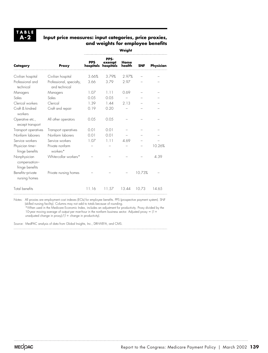# **Input price measures: input categories, price proxies, and weights for employee benefits**

| Category                                         | Proxy                                     | Weight                  |                             |                |            |           |  |
|--------------------------------------------------|-------------------------------------------|-------------------------|-----------------------------|----------------|------------|-----------|--|
|                                                  |                                           | <b>PPS</b><br>hospitals | PPS-<br>exempt<br>hospitals | Home<br>health | <b>SNF</b> | Physician |  |
| Civilian hospital                                | Civilian hospital                         | 3.66%                   | 3.79%                       | 2.97%          |            |           |  |
| Professional and<br>technical                    | Professional, specialty,<br>and technical | 3.66                    | 3.79                        | 2.97           |            |           |  |
| Managers                                         | Managers                                  | 1.07                    | 1.11                        | 0.69           |            |           |  |
| Sales                                            | Sales                                     | 0.05                    | 0.05                        |                |            |           |  |
| Clerical workers                                 | Clerical                                  | 1.39                    | 144                         | 2 13           |            |           |  |
| Craft & kindred<br>workers                       | Craft and repair                          | 0.19                    | 0.20                        |                |            |           |  |
| Operative etc.,<br>except transport              | All other operators                       | 0.05                    | 0.05                        |                |            |           |  |
| Transport operatives                             | Transport operatives                      | 0.01                    | 0.01                        |                |            |           |  |
| Nonfarm laborers                                 | Nonfarm laborers                          | 0.01                    | 0.01                        |                |            |           |  |
| Service workers                                  | Service workers                           | 1.07                    | 1.11                        | 4.69           |            |           |  |
| Physician time-<br>fringe benefits               | Private nonfarm<br>workers*               |                         |                             |                |            | 10.26%    |  |
| Nonphysician<br>compensation-<br>fringe benefits | White-collar workers*                     |                         |                             |                |            | 4.39      |  |
| Benefits-private<br>nursing homes                | Private nursing homes                     |                         |                             |                | 10.73%     |           |  |
| Total benefits                                   |                                           | 11.16                   | 11.57                       | 13.44          | 10.73      | 14.65     |  |

Notes: All proxies are employment cost indexes (ECIs) for employee benefits. PPS (prospective payment system). SNF (skilled nursing facility). Columns may not add to totals because of rounding.

\*When used in the Medicare Economic Index, includes an adjustment for productivity. Proxy divided by the 10-year moving average of output per man-hour in the nonfarm business sector. Adjusted proxy  $= (1 +$ unadjusted change in proxy)/ $(1 +$  change in productivity).

Source: MedPAC analysis of data from Global Insights, Inc., DRI-WEFA, and CMS.

 $\cdots$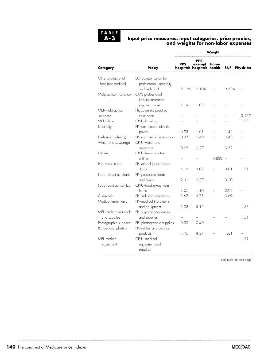

#### **Input price measures: input categories, price proxies, and weights for non-labor expenses**

|                                         |                                                                   | Weight       |                                                       |       |                          |                |  |
|-----------------------------------------|-------------------------------------------------------------------|--------------|-------------------------------------------------------|-------|--------------------------|----------------|--|
| Category                                | Proxy                                                             | <b>PPS</b>   | PPS-<br>PPS exempt Home<br>hospitals hospitals health |       | <b>SNF</b>               | Physician      |  |
| Other professional<br>fees (nonmedical) | ECI compensation for<br>professional, specialty,<br>and technical | 2.13%        | 2.10%                                                 |       | 2.63%                    |                |  |
| Malpractice insurance                   | CMS professional<br>liability insurance<br>premium index          | 1.19         | 1.08                                                  |       |                          |                |  |
| MEI-malpractice                         | Physician malpractice                                             |              |                                                       |       |                          |                |  |
| expense<br>MEI-office<br>Electricity    | cost index<br>CPI-U-housing<br>PPI-commercial electric            |              |                                                       |       |                          | 3.15%<br>11.58 |  |
| Fuels (nonhighway)                      | power<br>PPI-commercial natural gas                               | 0.93<br>0.37 | 1.01<br>0.40                                          |       | 142<br>0.43              |                |  |
| Water and sewerage                      | CPI-U-water and<br>sewerage                                       | 0.25         | 0.27                                                  |       | 0.52                     |                |  |
| Utilities                               | CPI-U-fuel and other<br>utilities                                 |              |                                                       | 0.83% | $\overline{\phantom{0}}$ |                |  |
| Pharmaceuticals                         | PPI-ethical (prescription)<br>drugs                               | 4.16         | 3.07                                                  |       | 3.01                     | 1.51           |  |
| Food: direct purchase                   | PPI-processed foods<br>and feeds                                  | 2.31         | 2.37                                                  |       | 3.20                     |                |  |
| Food: contract service                  | CPI-U-food away from<br>home                                      | 1.07         | 1.10                                                  |       | 0.94                     |                |  |
| Chemicals<br>Medical instruments        | PPI-industrial chemicals<br>PPI-medical instruments               | 3.67         | 3.75                                                  |       | 0.89                     |                |  |
| MEI-medical materials                   | and equipment<br>PPI-surgical appliances                          | 3.08         | 3.15                                                  |       |                          | 1.88           |  |
| and supplies<br>Photographic supplies   | and supplies<br>PPI-photographic supplies                         | 0.39         | 0.40                                                  |       |                          | 1.51           |  |
| Rubber and plastics                     | PPI-rubber and plastics                                           |              |                                                       |       |                          |                |  |
| MFI-medical<br>equipment                | products<br>CPI-U-medical<br>equipment and<br>supplies            | 4.75         | 4.87                                                  |       | 1.61                     | 1.51           |  |

continued on next page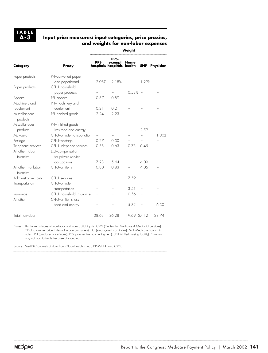**TABLE A-3**

#### **Input price measures: input categories, price proxies, and weights for non-labor expenses**

**Weight PPS-PPS exempt Home Category Proxy hospitals hospitals health SNF Physician** Paper products PPI–converted paper and paperboard 2.08% 2.18% – 1.29% – Paper products CPI-U–household paper products – – 0.53% – – Apparel PPI–apparel 0.87 0.89 Machinery and PPI–machinery and equipment equipment 0.21 0.21 Miscellaneous PPI–finished goods 2.24 2.23 products Miscellaneous PPI–finished goods products less food and energy  $-$  2.59 MEI–auto CPI-U–private transportation – – – – 1.30% Postage CPI-U-postage 0.27 0.30 – Telephone services CPI-U–telephone services 0.58 0.63 0.73 0.45 – All other: labor ECI–compensation intensive for private service occupations 7.28 5.44 – 4.09 – All other: nonlabor CPI-U-all items 0.80 0.83 – 4.06 intensive Administrative costs CPI-U-services – – 7.59 – Transportation CPI-U–private transportation – – 3.41 Insurance CPI-U–household insurance – – 0.56 – – All other CPI-U–all items less food and energy – – 5.32 – 6.30 Total non-labor 38.63 36.28 19.69 27.12 28.74

Notes: This table includes all non-labor and non-capital inputs. CMS (Centers for Medicare & Medicaid Services). CPI-U (consumer price index–all urban consumers). ECI (employment cost index). MEI (Medicare Economic Index). PPI (producer price index). PPS (prospective payment system). SNF (skilled nursing facility). Columns may not add to totals because of rounding.

Source: MedPAC analysis of data from Global Insights, Inc., DRI-WEFA, and CMS.